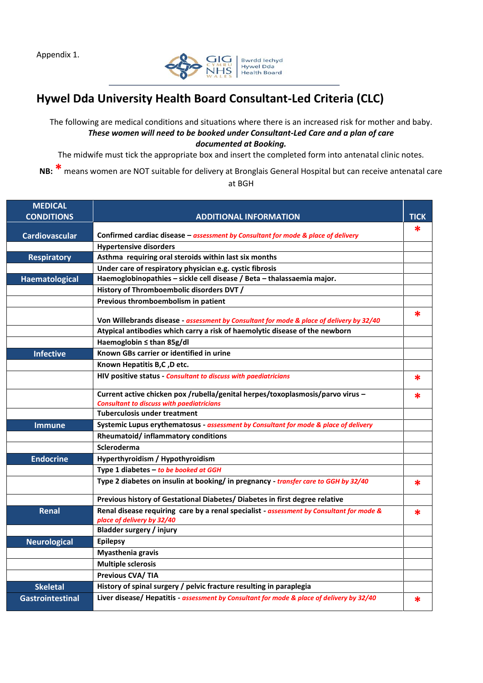Appendix 1.



## **Hywel Dda University Health Board Consultant-Led Criteria (CLC)**

The following are medical conditions and situations where there is an increased risk for mother and baby. *These women will need to be booked under Consultant-Led Care and a plan of care documented at Booking.*

The midwife must tick the appropriate box and insert the completed form into antenatal clinic notes.

**NB: \*** means women are NOT suitable for delivery at Bronglais General Hospital but can receive antenatal care at BGH

| <b>MEDICAL</b>        |                                                                                                                                    |             |
|-----------------------|------------------------------------------------------------------------------------------------------------------------------------|-------------|
| <b>CONDITIONS</b>     | <b>ADDITIONAL INFORMATION</b>                                                                                                      | <b>TICK</b> |
| <b>Cardiovascular</b> | Confirmed cardiac disease - assessment by Consultant for mode & place of delivery                                                  |             |
|                       | <b>Hypertensive disorders</b>                                                                                                      |             |
| <b>Respiratory</b>    | Asthma requiring oral steroids within last six months                                                                              |             |
|                       | Under care of respiratory physician e.g. cystic fibrosis                                                                           |             |
| Haematological        | Haemoglobinopathies - sickle cell disease / Beta - thalassaemia major.                                                             |             |
|                       | History of Thromboembolic disorders DVT /                                                                                          |             |
|                       | Previous thromboembolism in patient                                                                                                |             |
|                       | Von Willebrands disease - assessment by Consultant for mode & place of delivery by 32/40                                           | *           |
|                       | Atypical antibodies which carry a risk of haemolytic disease of the newborn                                                        |             |
|                       | Haemoglobin ≤ than 85g/dl                                                                                                          |             |
| <b>Infective</b>      | Known GBs carrier or identified in urine                                                                                           |             |
|                       | Known Hepatitis B,C, D etc.                                                                                                        |             |
|                       | HIV positive status - Consultant to discuss with paediatricians                                                                    | $\ast$      |
|                       | Current active chicken pox /rubella/genital herpes/toxoplasmosis/parvo virus -<br><b>Consultant to discuss with paediatricians</b> | *           |
|                       | <b>Tuberculosis under treatment</b>                                                                                                |             |
| Immune                | Systemic Lupus erythematosus - assessment by Consultant for mode & place of delivery                                               |             |
|                       | Rheumatoid/inflammatory conditions                                                                                                 |             |
|                       | Scleroderma                                                                                                                        |             |
| <b>Endocrine</b>      | Hyperthyroidism / Hypothyroidism                                                                                                   |             |
|                       | Type 1 diabetes - to be booked at GGH                                                                                              |             |
|                       | Type 2 diabetes on insulin at booking/ in pregnancy - transfer care to GGH by 32/40                                                | ∗           |
|                       | Previous history of Gestational Diabetes/ Diabetes in first degree relative                                                        |             |
| Renal                 | Renal disease requiring care by a renal specialist - assessment by Consultant for mode &<br>place of delivery by 32/40             | ∗           |
|                       | <b>Bladder surgery / injury</b>                                                                                                    |             |
| <b>Neurological</b>   | <b>Epilepsy</b>                                                                                                                    |             |
|                       | Myasthenia gravis                                                                                                                  |             |
|                       | <b>Multiple sclerosis</b>                                                                                                          |             |
|                       | <b>Previous CVA/TIA</b>                                                                                                            |             |
| <b>Skeletal</b>       | History of spinal surgery / pelvic fracture resulting in paraplegia                                                                |             |
| Gastrointestinal      | Liver disease/ Hepatitis - assessment by Consultant for mode & place of delivery by 32/40                                          | *           |
|                       |                                                                                                                                    |             |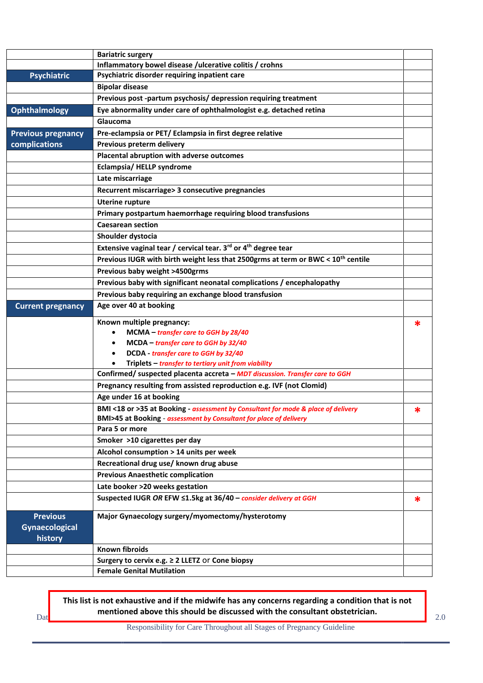|                           | <b>Bariatric surgery</b>                                                                                                                                |   |
|---------------------------|---------------------------------------------------------------------------------------------------------------------------------------------------------|---|
|                           | Inflammatory bowel disease /ulcerative colitis / crohns                                                                                                 |   |
| <b>Psychiatric</b>        | Psychiatric disorder requiring inpatient care                                                                                                           |   |
|                           | <b>Bipolar disease</b>                                                                                                                                  |   |
|                           | Previous post -partum psychosis/ depression requiring treatment                                                                                         |   |
| Ophthalmology             | Eye abnormality under care of ophthalmologist e.g. detached retina                                                                                      |   |
|                           | Glaucoma                                                                                                                                                |   |
| <b>Previous pregnancy</b> | Pre-eclampsia or PET/Eclampsia in first degree relative                                                                                                 |   |
| complications             | Previous preterm delivery                                                                                                                               |   |
|                           | Placental abruption with adverse outcomes                                                                                                               |   |
|                           | Eclampsia/HELLP syndrome                                                                                                                                |   |
|                           | Late miscarriage                                                                                                                                        |   |
|                           | Recurrent miscarriage> 3 consecutive pregnancies                                                                                                        |   |
|                           | <b>Uterine rupture</b>                                                                                                                                  |   |
|                           | Primary postpartum haemorrhage requiring blood transfusions                                                                                             |   |
|                           | <b>Caesarean section</b>                                                                                                                                |   |
|                           | Shoulder dystocia                                                                                                                                       |   |
|                           | Extensive vaginal tear / cervical tear. 3rd or 4 <sup>th</sup> degree tear                                                                              |   |
|                           | Previous IUGR with birth weight less that 2500grms at term or BWC < 10 <sup>th</sup> centile                                                            |   |
|                           | Previous baby weight >4500grms                                                                                                                          |   |
|                           | Previous baby with significant neonatal complications / encephalopathy                                                                                  |   |
|                           | Previous baby requiring an exchange blood transfusion                                                                                                   |   |
| <b>Current pregnancy</b>  | Age over 40 at booking                                                                                                                                  |   |
|                           |                                                                                                                                                         |   |
|                           |                                                                                                                                                         |   |
|                           | Known multiple pregnancy:                                                                                                                               | * |
|                           | MCMA - transfer care to GGH by 28/40                                                                                                                    |   |
|                           | MCDA - transfer care to GGH by 32/40                                                                                                                    |   |
|                           | DCDA - transfer care to GGH by 32/40                                                                                                                    |   |
|                           | Triplets - transfer to tertiary unit from viability                                                                                                     |   |
|                           | Confirmed/ suspected placenta accreta - MDT discussion. Transfer care to GGH                                                                            |   |
|                           | Pregnancy resulting from assisted reproduction e.g. IVF (not Clomid)                                                                                    |   |
|                           | Age under 16 at booking                                                                                                                                 |   |
|                           | BMI <18 or >35 at Booking - assessment by Consultant for mode & place of delivery<br>BMI>45 at Booking - assessment by Consultant for place of delivery |   |
|                           | Para 5 or more                                                                                                                                          |   |
|                           | Smoker >10 cigarettes per day                                                                                                                           |   |
|                           | Alcohol consumption > 14 units per week                                                                                                                 |   |
|                           | Recreational drug use/ known drug abuse                                                                                                                 |   |
|                           | <b>Previous Anaesthetic complication</b>                                                                                                                |   |
|                           | Late booker >20 weeks gestation                                                                                                                         |   |
|                           | Suspected IUGR OR EFW ≤1.5kg at 36/40 - consider delivery at GGH                                                                                        | * |
| <b>Previous</b>           | Major Gynaecology surgery/myomectomy/hysterotomy                                                                                                        |   |
| <b>Gynaecological</b>     |                                                                                                                                                         |   |
| history                   |                                                                                                                                                         |   |
|                           | <b>Known fibroids</b>                                                                                                                                   |   |
|                           | Surgery to cervix e.g. ≥ 2 LLETZ Or Cone biopsy<br><b>Female Genital Mutilation</b>                                                                     |   |

Dat**e Communismed above this should be discussed with the consultant obstetrician.** 2.0 2.0 **This list is not exhaustive and if the midwife has any concerns regarding a condition that is not** 

Responsibility for Care Throughout all Stages of Pregnancy Guideline